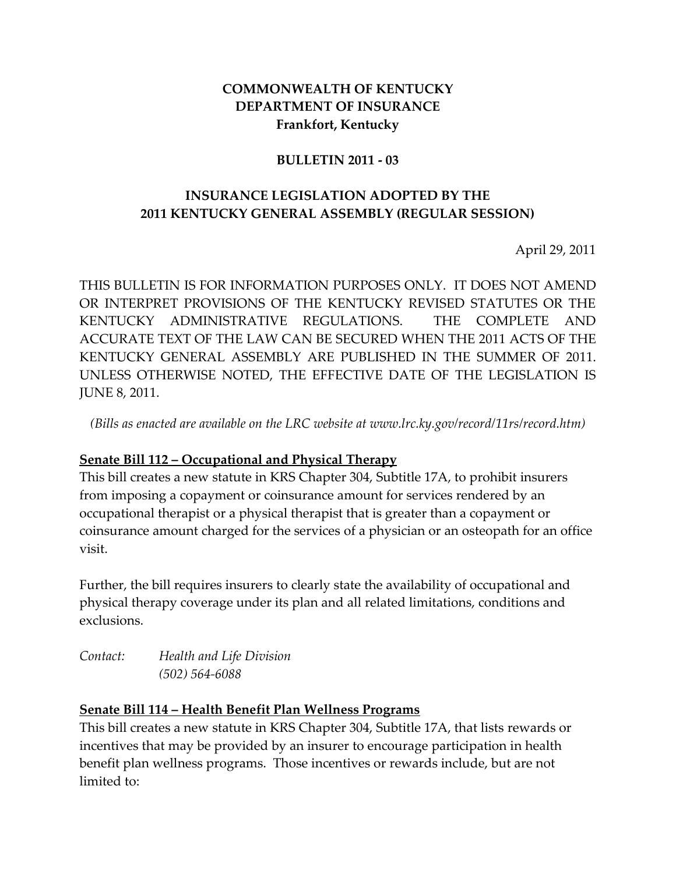## **COMMONWEALTH OF KENTUCKY DEPARTMENT OF INSURANCE Frankfort, Kentucky**

### **BULLETIN 2011 - 03**

## **INSURANCE LEGISLATION ADOPTED BY THE 2011 KENTUCKY GENERAL ASSEMBLY (REGULAR SESSION)**

April 29, 2011

THIS BULLETIN IS FOR INFORMATION PURPOSES ONLY. IT DOES NOT AMEND OR INTERPRET PROVISIONS OF THE KENTUCKY REVISED STATUTES OR THE KENTUCKY ADMINISTRATIVE REGULATIONS. THE COMPLETE AND ACCURATE TEXT OF THE LAW CAN BE SECURED WHEN THE 2011 ACTS OF THE KENTUCKY GENERAL ASSEMBLY ARE PUBLISHED IN THE SUMMER OF 2011. UNLESS OTHERWISE NOTED, THE EFFECTIVE DATE OF THE LEGISLATION IS JUNE 8, 2011.

*(Bills as enacted are available on the LRC website at www.lrc.ky.gov/record/11rs/record.htm)*

#### **Senate Bill 112 – Occupational and Physical Therapy**

This bill creates a new statute in KRS Chapter 304, Subtitle 17A, to prohibit insurers from imposing a copayment or coinsurance amount for services rendered by an occupational therapist or a physical therapist that is greater than a copayment or coinsurance amount charged for the services of a physician or an osteopath for an office visit.

Further, the bill requires insurers to clearly state the availability of occupational and physical therapy coverage under its plan and all related limitations, conditions and exclusions.

*Contact: Health and Life Division (502) 564-6088*

#### **Senate Bill 114 – Health Benefit Plan Wellness Programs**

This bill creates a new statute in KRS Chapter 304, Subtitle 17A, that lists rewards or incentives that may be provided by an insurer to encourage participation in health benefit plan wellness programs. Those incentives or rewards include, but are not limited to: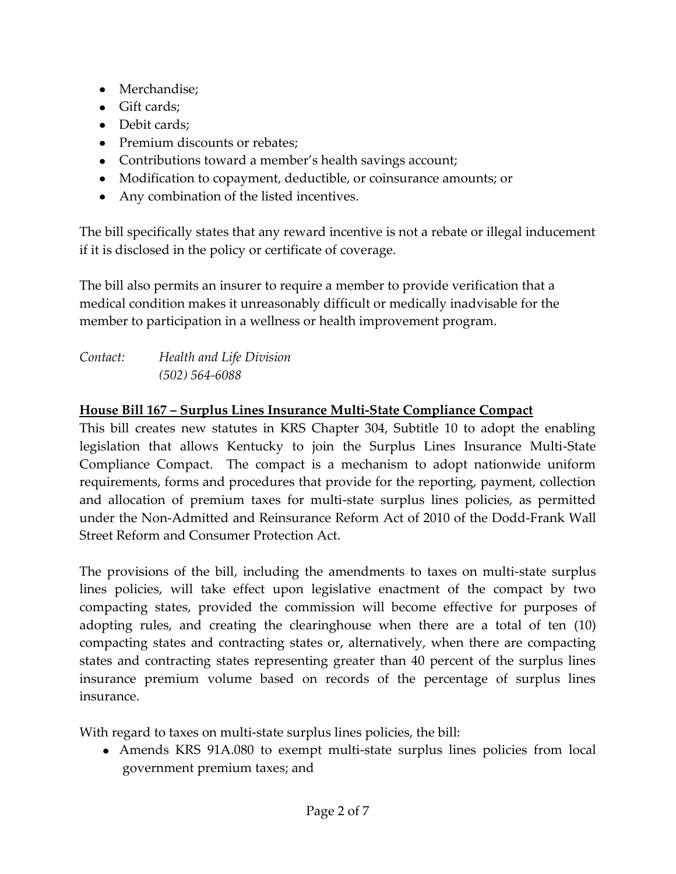- Merchandise;
- Gift cards;
- Debit cards:
- Premium discounts or rebates;
- Contributions toward a member's health savings account;
- Modification to copayment, deductible, or coinsurance amounts; or
- Any combination of the listed incentives.

The bill specifically states that any reward incentive is not a rebate or illegal inducement if it is disclosed in the policy or certificate of coverage.

The bill also permits an insurer to require a member to provide verification that a medical condition makes it unreasonably difficult or medically inadvisable for the member to participation in a wellness or health improvement program.

*Contact: Health and Life Division (502) 564-6088*

## **House Bill 167 – Surplus Lines Insurance Multi-State Compliance Compact**

This bill creates new statutes in KRS Chapter 304, Subtitle 10 to adopt the enabling legislation that allows Kentucky to join the Surplus Lines Insurance Multi-State Compliance Compact. The compact is a mechanism to adopt nationwide uniform requirements, forms and procedures that provide for the reporting, payment, collection and allocation of premium taxes for multi-state surplus lines policies, as permitted under the Non-Admitted and Reinsurance Reform Act of 2010 of the Dodd-Frank Wall Street Reform and Consumer Protection Act.

The provisions of the bill, including the amendments to taxes on multi-state surplus lines policies, will take effect upon legislative enactment of the compact by two compacting states, provided the commission will become effective for purposes of adopting rules, and creating the clearinghouse when there are a total of ten (10) compacting states and contracting states or, alternatively, when there are compacting states and contracting states representing greater than 40 percent of the surplus lines insurance premium volume based on records of the percentage of surplus lines insurance.

With regard to taxes on multi-state surplus lines policies, the bill:

Amends KRS 91A.080 to exempt multi-state surplus lines policies from local government premium taxes; and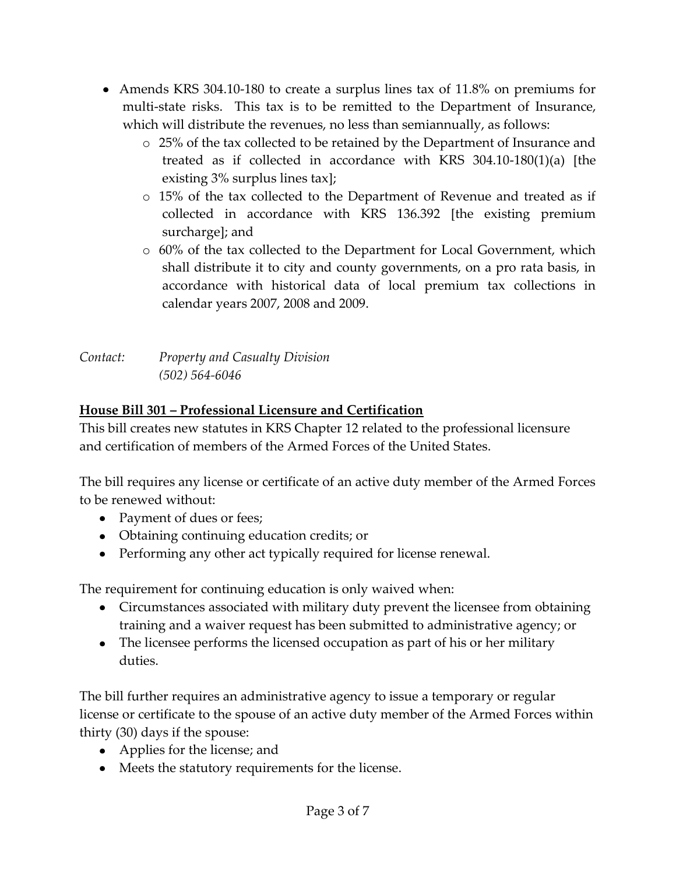- Amends KRS 304.10-180 to create a surplus lines tax of 11.8% on premiums for multi-state risks. This tax is to be remitted to the Department of Insurance, which will distribute the revenues, no less than semiannually, as follows:
	- o 25% of the tax collected to be retained by the Department of Insurance and treated as if collected in accordance with KRS 304.10-180(1)(a) [the existing 3% surplus lines tax];
	- o 15% of the tax collected to the Department of Revenue and treated as if collected in accordance with KRS 136.392 [the existing premium surcharge]; and
	- o 60% of the tax collected to the Department for Local Government, which shall distribute it to city and county governments, on a pro rata basis, in accordance with historical data of local premium tax collections in calendar years 2007, 2008 and 2009.

| Contact: | <b>Property and Casualty Division</b> |
|----------|---------------------------------------|
|          | $(502) 564 - 6046$                    |

## **House Bill 301 – Professional Licensure and Certification**

This bill creates new statutes in KRS Chapter 12 related to the professional licensure and certification of members of the Armed Forces of the United States.

The bill requires any license or certificate of an active duty member of the Armed Forces to be renewed without:

- Payment of dues or fees;
- Obtaining continuing education credits; or
- Performing any other act typically required for license renewal.

The requirement for continuing education is only waived when:

- Circumstances associated with military duty prevent the licensee from obtaining training and a waiver request has been submitted to administrative agency; or
- The licensee performs the licensed occupation as part of his or her military duties.

The bill further requires an administrative agency to issue a temporary or regular license or certificate to the spouse of an active duty member of the Armed Forces within thirty (30) days if the spouse:

- Applies for the license; and
- Meets the statutory requirements for the license.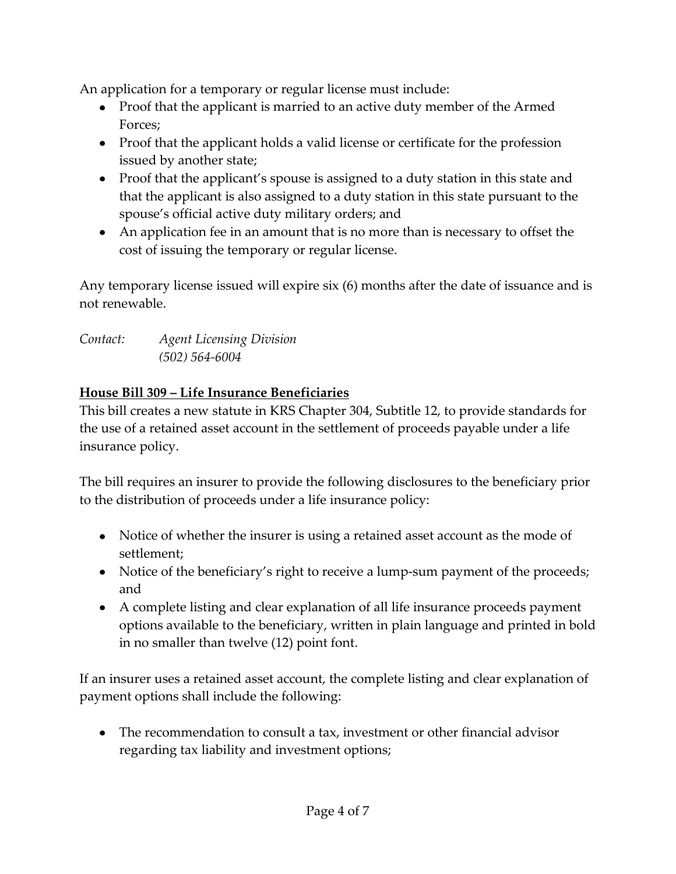An application for a temporary or regular license must include:

- Proof that the applicant is married to an active duty member of the Armed Forces;
- Proof that the applicant holds a valid license or certificate for the profession issued by another state;
- Proof that the applicant's spouse is assigned to a duty station in this state and that the applicant is also assigned to a duty station in this state pursuant to the spouse's official active duty military orders; and
- An application fee in an amount that is no more than is necessary to offset the cost of issuing the temporary or regular license.

Any temporary license issued will expire six (6) months after the date of issuance and is not renewable.

| Contact: | <b>Agent Licensing Division</b> |
|----------|---------------------------------|
|          | $(502) 564 - 6004$              |

# **House Bill 309 – Life Insurance Beneficiaries**

This bill creates a new statute in KRS Chapter 304, Subtitle 12, to provide standards for the use of a retained asset account in the settlement of proceeds payable under a life insurance policy.

The bill requires an insurer to provide the following disclosures to the beneficiary prior to the distribution of proceeds under a life insurance policy:

- Notice of whether the insurer is using a retained asset account as the mode of settlement;
- Notice of the beneficiary's right to receive a lump-sum payment of the proceeds; and
- A complete listing and clear explanation of all life insurance proceeds payment options available to the beneficiary, written in plain language and printed in bold in no smaller than twelve (12) point font.

If an insurer uses a retained asset account, the complete listing and clear explanation of payment options shall include the following:

The recommendation to consult a tax, investment or other financial advisor regarding tax liability and investment options;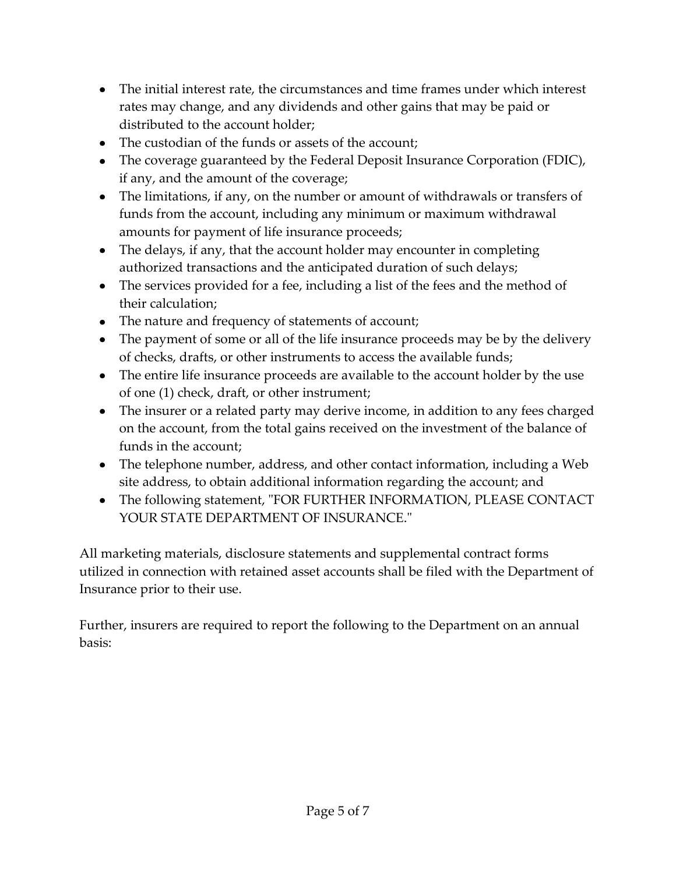- The initial interest rate, the circumstances and time frames under which interest rates may change, and any dividends and other gains that may be paid or distributed to the account holder;
- The custodian of the funds or assets of the account;
- The coverage guaranteed by the Federal Deposit Insurance Corporation (FDIC), if any, and the amount of the coverage;
- The limitations, if any, on the number or amount of withdrawals or transfers of funds from the account, including any minimum or maximum withdrawal amounts for payment of life insurance proceeds;
- The delays, if any, that the account holder may encounter in completing authorized transactions and the anticipated duration of such delays;
- The services provided for a fee, including a list of the fees and the method of their calculation;
- The nature and frequency of statements of account;
- The payment of some or all of the life insurance proceeds may be by the delivery of checks, drafts, or other instruments to access the available funds;
- The entire life insurance proceeds are available to the account holder by the use of one (1) check, draft, or other instrument;
- The insurer or a related party may derive income, in addition to any fees charged on the account, from the total gains received on the investment of the balance of funds in the account;
- The telephone number, address, and other contact information, including a Web site address, to obtain additional information regarding the account; and
- The following statement, "FOR FURTHER INFORMATION, PLEASE CONTACT YOUR STATE DEPARTMENT OF INSURANCE."

All marketing materials, disclosure statements and supplemental contract forms utilized in connection with retained asset accounts shall be filed with the Department of Insurance prior to their use.

Further, insurers are required to report the following to the Department on an annual basis: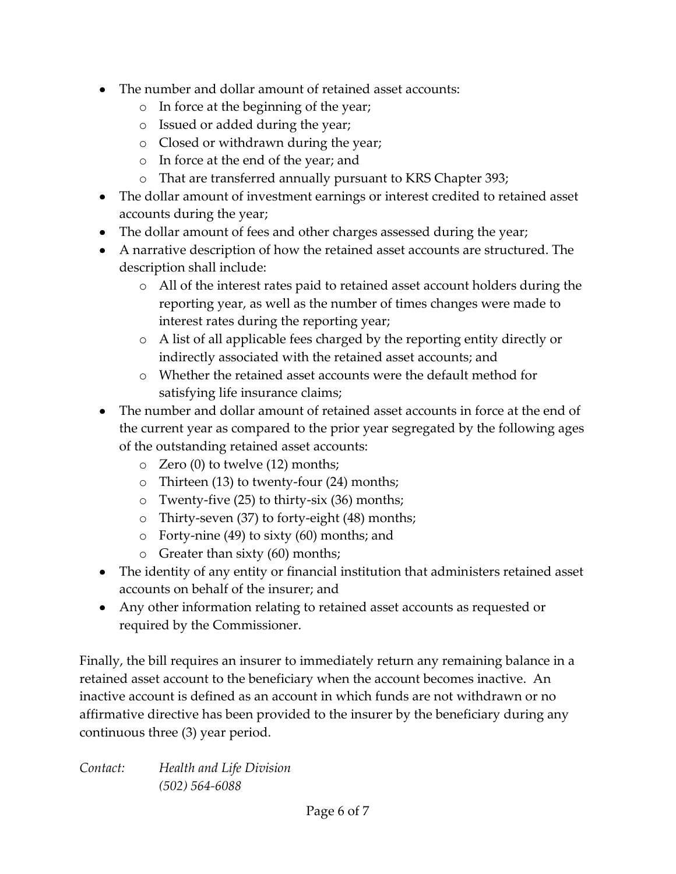- The number and dollar amount of retained asset accounts:
	- o In force at the beginning of the year;
	- o Issued or added during the year;
	- o Closed or withdrawn during the year;
	- o In force at the end of the year; and
	- o That are transferred annually pursuant to KRS Chapter 393;
- The dollar amount of investment earnings or interest credited to retained asset accounts during the year;
- The dollar amount of fees and other charges assessed during the year;
- A narrative description of how the retained asset accounts are structured. The description shall include:
	- o All of the interest rates paid to retained asset account holders during the reporting year, as well as the number of times changes were made to interest rates during the reporting year;
	- o A list of all applicable fees charged by the reporting entity directly or indirectly associated with the retained asset accounts; and
	- o Whether the retained asset accounts were the default method for satisfying life insurance claims;
- The number and dollar amount of retained asset accounts in force at the end of the current year as compared to the prior year segregated by the following ages of the outstanding retained asset accounts:
	- o Zero (0) to twelve (12) months;
	- o Thirteen (13) to twenty-four (24) months;
	- o Twenty-five (25) to thirty-six (36) months;
	- o Thirty-seven (37) to forty-eight (48) months;
	- o Forty-nine (49) to sixty (60) months; and
	- o Greater than sixty (60) months;
- The identity of any entity or financial institution that administers retained asset accounts on behalf of the insurer; and
- Any other information relating to retained asset accounts as requested or required by the Commissioner.

Finally, the bill requires an insurer to immediately return any remaining balance in a retained asset account to the beneficiary when the account becomes inactive. An inactive account is defined as an account in which funds are not withdrawn or no affirmative directive has been provided to the insurer by the beneficiary during any continuous three (3) year period.

| Contact: | Health and Life Division |
|----------|--------------------------|
|          | $(502) 564 - 6088$       |